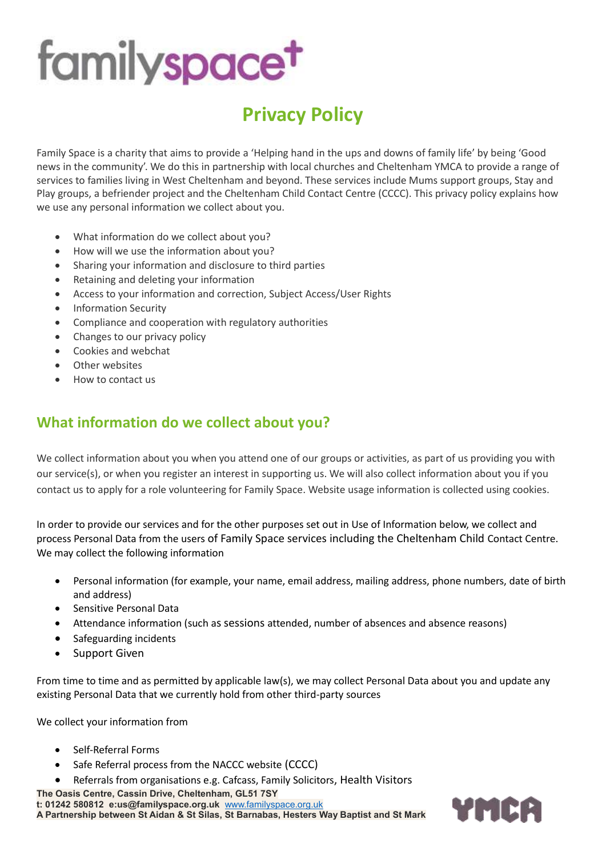### **Privacy Policy**

Family Space is a charity that aims to provide a 'Helping hand in the ups and downs of family life' by being 'Good news in the community'. We do this in partnership with local churches and Cheltenham YMCA to provide a range of services to families living in West Cheltenham and beyond. These services include Mums support groups, Stay and Play groups, a befriender project and the Cheltenham Child Contact Centre (CCCC). This privacy policy explains how we use any personal information we collect about you.

- What information do we collect about you?
- How will we use the [information](https://d.docs.live.net/8edcb989d63a7252/Documents/Sarah%20Family%20Space/GRDP/Contact%20Centre%20specific%20policies/Privacy%20Policy%20May%202018.docx) about you?
- Sharing your [information](https://capuk.org/more/privacy#share) and disclosure to third parties
- Retaining and deleting your [information](https://capuk.org/more/privacy#retain)
- Access to your [information](https://capuk.org/more/privacy#access) and correction, Subject Access/User Rights
- Information Security
- Compliance and cooperation with regulatory authorities
- Changes to our privacy policy
- Cookies and [webchat](https://capuk.org/more/privacy#cookies)
- Other [websites](https://capuk.org/more/privacy#other)
- How to [contact](https://capuk.org/more/privacy#contact) us

#### **What information do we collect about you?**

We collect information about you when you attend one of our groups or activities, as part of us providing you with our service(s), or when you register an interest in supporting us. We will also collect information about you if you contact us to apply for a role volunteering for Family Space. Website usage information is collected using cookies.

In order to provide our services and for the other purposes set out in Use of Information below, we collect and process Personal Data from the users of Family Space services including the Cheltenham Child Contact Centre. We may collect the following information

- Personal information (for example, your name, email address, mailing address, phone numbers, date of birth and address)
- Sensitive Personal Data
- Attendance information (such as sessions attended, number of absences and absence reasons)
- Safeguarding incidents
- Support Given

From time to time and as permitted by applicable law(s), we may collect Personal Data about you and update any existing Personal Data that we currently hold from other third-party sources

We collect your information from

- Self-Referral Forms
- Safe Referral process from the NACCC website (CCCC)
- Referrals from organisations e.g. Cafcass, Family Solicitors, Health Visitors

**The Oasis Centre, Cassin Drive, Cheltenham, GL51 7SY t: 01242 580812 e:us@familyspace.org.uk** [www.familyspace.org.uk](http://www.familyspace.org.uk/) **A Partnership between St Aidan & St Silas, St Barnabas, Hesters Way Baptist and St Mark**

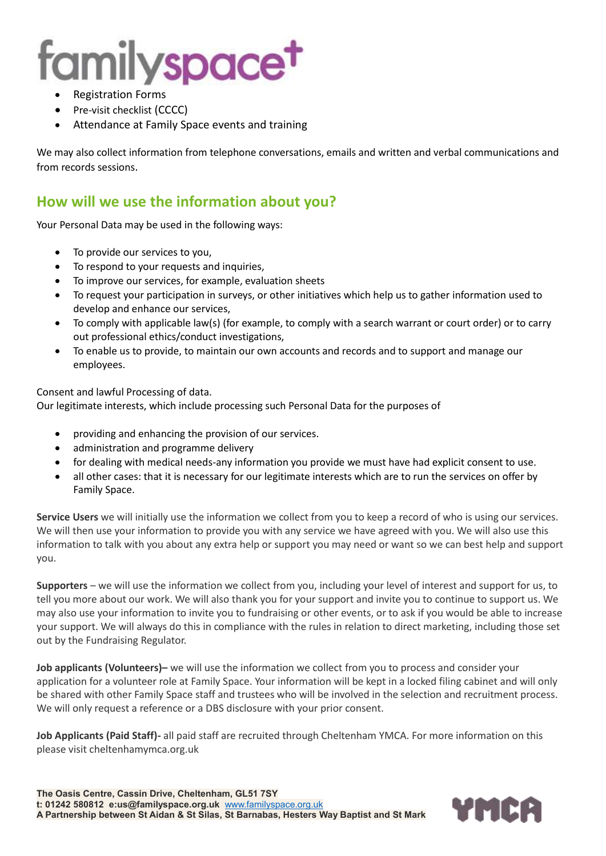- Registration Forms
- Pre-visit checklist (CCCC)
- Attendance at Family Space events and training

We may also collect information from telephone conversations, emails and written and verbal communications and from records sessions.

#### **How will we use the information about you?**

Your Personal Data may be used in the following ways:

- To provide our services to you,
- To respond to your requests and inquiries,
- To improve our services, for example, evaluation sheets
- To request your participation in surveys, or other initiatives which help us to gather information used to develop and enhance our services,
- To comply with applicable law(s) (for example, to comply with a search warrant or court order) or to carry out professional ethics/conduct investigations,
- To enable us to provide, to maintain our own accounts and records and to support and manage our employees.

Consent and lawful Processing of data.

Our legitimate interests, which include processing such Personal Data for the purposes of

- providing and enhancing the provision of our services.
- administration and programme delivery
- for dealing with medical needs-any information you provide we must have had explicit consent to use.
- all other cases: that it is necessary for our legitimate interests which are to run the services on offer by Family Space.

**Service Users** we will initially use the information we collect from you to keep a record of who is using our services. We will then use your information to provide you with any service we have agreed with you. We will also use this information to talk with you about any extra help or support you may need or want so we can best help and support you.

**Supporters** – we will use the information we collect from you, including your level of interest and support for us, to tell you more about our work. We will also thank you for your support and invite you to continue to support us. We may also use your information to invite you to fundraising or other events, or to ask if you would be able to increase your support. We will always do this in compliance with the rules in relation to direct marketing, including those set out by the Fundraising Regulator.

**Job applicants (Volunteers)–** we will use the information we collect from you to process and consider your application for a volunteer role at Family Space. Your information will be kept in a locked filing cabinet and will only be shared with other Family Space staff and trustees who will be involved in the selection and recruitment process. We will only request a reference or a DBS disclosure with your prior consent.

**Job Applicants (Paid Staff)-** all paid staff are recruited through Cheltenham YMCA. For more information on this please visit cheltenhamymca.org.uk

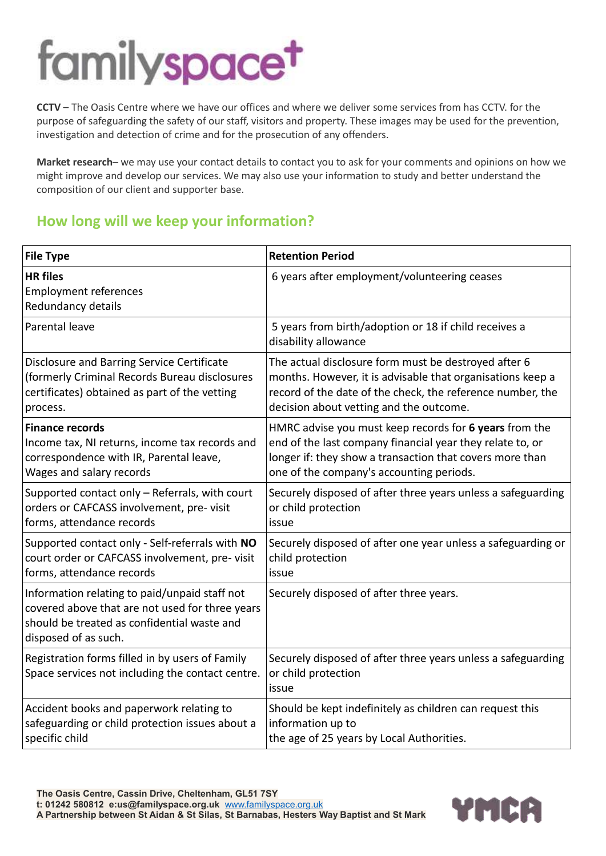**CCTV** – The Oasis Centre where we have our offices and where we deliver some services from has CCTV. for the purpose of safeguarding the safety of our staff, visitors and property. These images may be used for the prevention, investigation and detection of crime and for the prosecution of any offenders.

**Market research**– we may use your contact details to contact you to ask for your comments and opinions on how we might improve and develop our services. We may also use your information to study and better understand the composition of our client and supporter base.

### **How long will we keep your information?**

| <b>File Type</b>                                                                                                                                                        | <b>Retention Period</b>                                                                      |
|-------------------------------------------------------------------------------------------------------------------------------------------------------------------------|----------------------------------------------------------------------------------------------|
| <b>HR</b> files<br><b>Employment references</b><br>Redundancy details                                                                                                   | 6 years after employment/volunteering ceases                                                 |
| Parental leave                                                                                                                                                          | 5 years from birth/adoption or 18 if child receives a<br>disability allowance                |
| Disclosure and Barring Service Certificate                                                                                                                              | The actual disclosure form must be destroyed after 6                                         |
| (formerly Criminal Records Bureau disclosures                                                                                                                           | months. However, it is advisable that organisations keep a                                   |
| certificates) obtained as part of the vetting                                                                                                                           | record of the date of the check, the reference number, the                                   |
| process.                                                                                                                                                                | decision about vetting and the outcome.                                                      |
| <b>Finance records</b>                                                                                                                                                  | HMRC advise you must keep records for 6 years from the                                       |
| Income tax, NI returns, income tax records and                                                                                                                          | end of the last company financial year they relate to, or                                    |
| correspondence with IR, Parental leave,                                                                                                                                 | longer if: they show a transaction that covers more than                                     |
| Wages and salary records                                                                                                                                                | one of the company's accounting periods.                                                     |
| Supported contact only - Referrals, with court                                                                                                                          | Securely disposed of after three years unless a safeguarding                                 |
| orders or CAFCASS involvement, pre-visit                                                                                                                                | or child protection                                                                          |
| forms, attendance records                                                                                                                                               | issue                                                                                        |
| Supported contact only - Self-referrals with NO                                                                                                                         | Securely disposed of after one year unless a safeguarding or                                 |
| court order or CAFCASS involvement, pre-visit                                                                                                                           | child protection                                                                             |
| forms, attendance records                                                                                                                                               | issue                                                                                        |
| Information relating to paid/unpaid staff not<br>covered above that are not used for three years<br>should be treated as confidential waste and<br>disposed of as such. | Securely disposed of after three years.                                                      |
| Registration forms filled in by users of Family<br>Space services not including the contact centre.                                                                     | Securely disposed of after three years unless a safeguarding<br>or child protection<br>issue |
| Accident books and paperwork relating to                                                                                                                                | Should be kept indefinitely as children can request this                                     |
| safeguarding or child protection issues about a                                                                                                                         | information up to                                                                            |
| specific child                                                                                                                                                          | the age of 25 years by Local Authorities.                                                    |

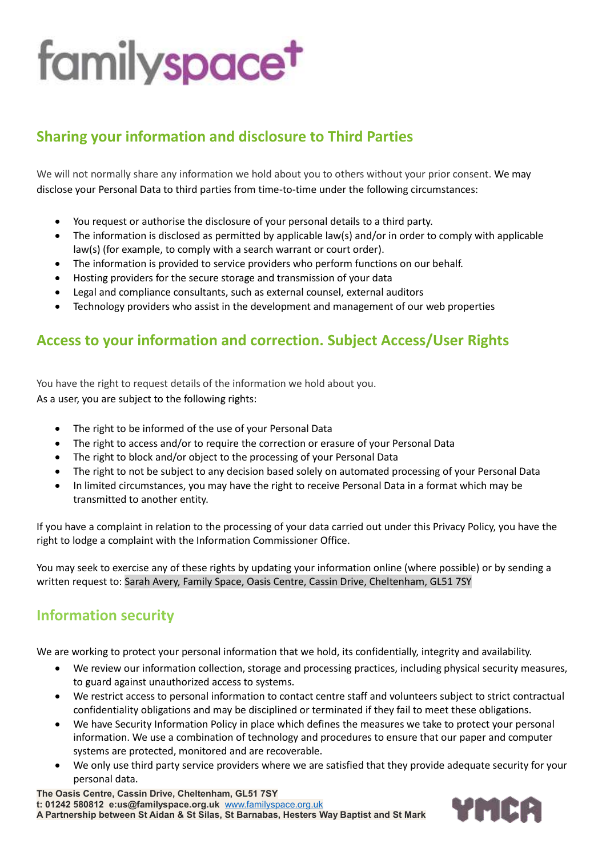### **Sharing your information and disclosure to Third Parties**

We will not normally share any information we hold about you to others without your prior consent. We may disclose your Personal Data to third parties from time-to-time under the following circumstances:

- You request or authorise the disclosure of your personal details to a third party.
- The information is disclosed as permitted by applicable law(s) and/or in order to comply with applicable law(s) (for example, to comply with a search warrant or court order).
- The information is provided to service providers who perform functions on our behalf.
- Hosting providers for the secure storage and transmission of your data
- Legal and compliance consultants, such as external counsel, external auditors
- Technology providers who assist in the development and management of our web properties

### **Access to your information and correction. Subject Access/User Rights**

You have the right to request details of the information we hold about you. As a user, you are subject to the following rights:

- The right to be informed of the use of your Personal Data
- The right to access and/or to require the correction or erasure of your Personal Data
- The right to block and/or object to the processing of your Personal Data
- The right to not be subject to any decision based solely on automated processing of your Personal Data
- In limited circumstances, you may have the right to receive Personal Data in a format which may be transmitted to another entity.

If you have a complaint in relation to the processing of your data carried out under this Privacy Policy, you have the right to lodge a complaint with the Information Commissioner Office.

You may seek to exercise any of these rights by updating your information online (where possible) or by sending a written request to: Sarah Avery, Family Space, Oasis Centre, Cassin Drive, Cheltenham, GL51 7SY

#### **Information security**

We are working to protect your personal information that we hold, its confidentially, integrity and availability.

- We review our information collection, storage and processing practices, including physical security measures, to guard against unauthorized access to systems.
- We restrict access to personal information to contact centre staff and volunteers subject to strict contractual confidentiality obligations and may be disciplined or terminated if they fail to meet these obligations.
- We have Security Information Policy in place which defines the measures we take to protect your personal information. We use a combination of technology and procedures to ensure that our paper and computer systems are protected, monitored and are recoverable.
- We only use third party service providers where we are satisfied that they provide adequate security for your personal data.